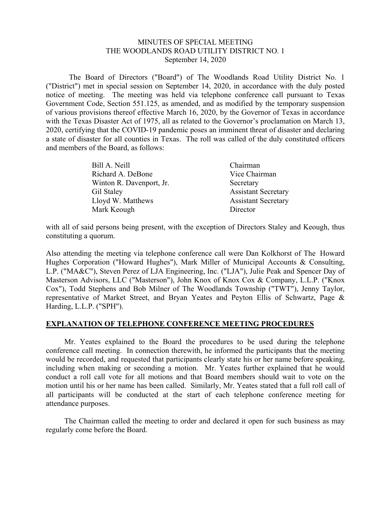## MINUTES OF SPECIAL MEETING THE WOODLANDS ROAD UTILITY DISTRICT NO. 1 September 14, 2020

 The Board of Directors ("Board") of The Woodlands Road Utility District No. 1 ("District") met in special session on September 14, 2020, in accordance with the duly posted notice of meeting. The meeting was held via telephone conference call pursuant to Texas Government Code, Section 551.125, as amended, and as modified by the temporary suspension of various provisions thereof effective March 16, 2020, by the Governor of Texas in accordance with the Texas Disaster Act of 1975, all as related to the Governor's proclamation on March 13, 2020, certifying that the COVID-19 pandemic poses an imminent threat of disaster and declaring a state of disaster for all counties in Texas. The roll was called of the duly constituted officers and members of the Board, as follows:

| Chairman                   |
|----------------------------|
| Vice Chairman              |
| Secretary                  |
| <b>Assistant Secretary</b> |
| <b>Assistant Secretary</b> |
| Director                   |
|                            |

with all of said persons being present, with the exception of Directors Staley and Keough, thus constituting a quorum.

Also attending the meeting via telephone conference call were Dan Kolkhorst of The Howard Hughes Corporation ("Howard Hughes"), Mark Miller of Municipal Accounts & Consulting, L.P. ("MA&C"), Steven Perez of LJA Engineering, Inc. ("LJA"), Julie Peak and Spencer Day of Masterson Advisors, LLC ("Masterson"), John Knox of Knox Cox & Company, L.L.P. ("Knox Cox"), Todd Stephens and Bob Milner of The Woodlands Township ("TWT"), Jenny Taylor, representative of Market Street, and Bryan Yeates and Peyton Ellis of Schwartz, Page & Harding, L.L.P. ("SPH").

# **EXPLANATION OF TELEPHONE CONFERENCE MEETING PROCEDURES**

 Mr. Yeates explained to the Board the procedures to be used during the telephone conference call meeting. In connection therewith, he informed the participants that the meeting would be recorded, and requested that participants clearly state his or her name before speaking, including when making or seconding a motion. Mr. Yeates further explained that he would conduct a roll call vote for all motions and that Board members should wait to vote on the motion until his or her name has been called. Similarly, Mr. Yeates stated that a full roll call of all participants will be conducted at the start of each telephone conference meeting for attendance purposes.

 The Chairman called the meeting to order and declared it open for such business as may regularly come before the Board.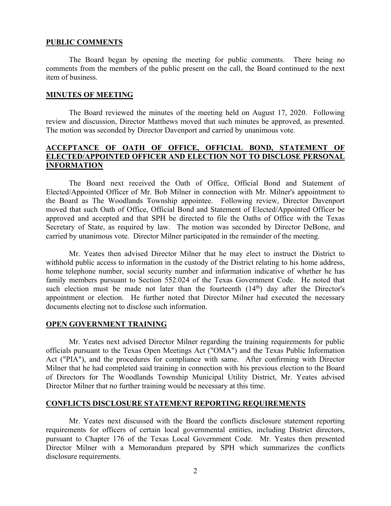### **PUBLIC COMMENTS**

 The Board began by opening the meeting for public comments. There being no comments from the members of the public present on the call, the Board continued to the next item of business.

### **MINUTES OF MEETING**

The Board reviewed the minutes of the meeting held on August 17, 2020. Following review and discussion, Director Matthews moved that such minutes be approved, as presented. The motion was seconded by Director Davenport and carried by unanimous vote.

# **ACCEPTANCE OF OATH OF OFFICE, OFFICIAL BOND, STATEMENT OF ELECTED/APPOINTED OFFICER AND ELECTION NOT TO DISCLOSE PERSONAL INFORMATION**

 The Board next received the Oath of Office, Official Bond and Statement of Elected/Appointed Officer of Mr. Bob Milner in connection with Mr. Milner's appointment to the Board as The Woodlands Township appointee. Following review, Director Davenport moved that such Oath of Office, Official Bond and Statement of Elected/Appointed Officer be approved and accepted and that SPH be directed to file the Oaths of Office with the Texas Secretary of State, as required by law. The motion was seconded by Director DeBone, and carried by unanimous vote. Director Milner participated in the remainder of the meeting.

 Mr. Yeates then advised Director Milner that he may elect to instruct the District to withhold public access to information in the custody of the District relating to his home address, home telephone number, social security number and information indicative of whether he has family members pursuant to Section 552.024 of the Texas Government Code. He noted that such election must be made not later than the fourteenth  $(14<sup>th</sup>)$  day after the Director's appointment or election. He further noted that Director Milner had executed the necessary documents electing not to disclose such information.

## **OPEN GOVERNMENT TRAINING**

 Mr. Yeates next advised Director Milner regarding the training requirements for public officials pursuant to the Texas Open Meetings Act ("OMA") and the Texas Public Information Act ("PIA"), and the procedures for compliance with same. After confirming with Director Milner that he had completed said training in connection with his previous election to the Board of Directors for The Woodlands Township Municipal Utility District, Mr. Yeates advised Director Milner that no further training would be necessary at this time.

#### **CONFLICTS DISCLOSURE STATEMENT REPORTING REQUIREMENTS**

 Mr. Yeates next discussed with the Board the conflicts disclosure statement reporting requirements for officers of certain local governmental entities, including District directors, pursuant to Chapter 176 of the Texas Local Government Code. Mr. Yeates then presented Director Milner with a Memorandum prepared by SPH which summarizes the conflicts disclosure requirements.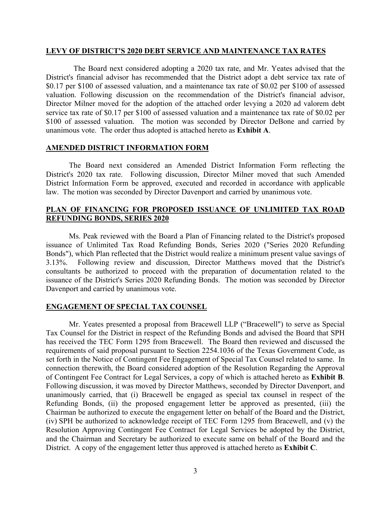#### **LEVY OF DISTRICT'S 2020 DEBT SERVICE AND MAINTENANCE TAX RATES**

 The Board next considered adopting a 2020 tax rate, and Mr. Yeates advised that the District's financial advisor has recommended that the District adopt a debt service tax rate of \$0.17 per \$100 of assessed valuation, and a maintenance tax rate of \$0.02 per \$100 of assessed valuation. Following discussion on the recommendation of the District's financial advisor, Director Milner moved for the adoption of the attached order levying a 2020 ad valorem debt service tax rate of \$0.17 per \$100 of assessed valuation and a maintenance tax rate of \$0.02 per \$100 of assessed valuation. The motion was seconded by Director DeBone and carried by unanimous vote. The order thus adopted is attached hereto as **Exhibit A**.

## **AMENDED DISTRICT INFORMATION FORM**

The Board next considered an Amended District Information Form reflecting the District's 2020 tax rate. Following discussion, Director Milner moved that such Amended District Information Form be approved, executed and recorded in accordance with applicable law. The motion was seconded by Director Davenport and carried by unanimous vote.

## **PLAN OF FINANCING FOR PROPOSED ISSUANCE OF UNLIMITED TAX ROAD REFUNDING BONDS, SERIES 2020**

Ms. Peak reviewed with the Board a Plan of Financing related to the District's proposed issuance of Unlimited Tax Road Refunding Bonds, Series 2020 ("Series 2020 Refunding Bonds"), which Plan reflected that the District would realize a minimum present value savings of 3.13%. Following review and discussion, Director Matthews moved that the District's consultants be authorized to proceed with the preparation of documentation related to the issuance of the District's Series 2020 Refunding Bonds. The motion was seconded by Director Davenport and carried by unanimous vote.

## **ENGAGEMENT OF SPECIAL TAX COUNSEL**

 Mr. Yeates presented a proposal from Bracewell LLP ("Bracewell") to serve as Special Tax Counsel for the District in respect of the Refunding Bonds and advised the Board that SPH has received the TEC Form 1295 from Bracewell. The Board then reviewed and discussed the requirements of said proposal pursuant to Section 2254.1036 of the Texas Government Code, as set forth in the Notice of Contingent Fee Engagement of Special Tax Counsel related to same. In connection therewith, the Board considered adoption of the Resolution Regarding the Approval of Contingent Fee Contract for Legal Services, a copy of which is attached hereto as **Exhibit B**. Following discussion, it was moved by Director Matthews, seconded by Director Davenport, and unanimously carried, that (i) Bracewell be engaged as special tax counsel in respect of the Refunding Bonds, (ii) the proposed engagement letter be approved as presented, (iii) the Chairman be authorized to execute the engagement letter on behalf of the Board and the District, (iv) SPH be authorized to acknowledge receipt of TEC Form 1295 from Bracewell, and (v) the Resolution Approving Contingent Fee Contract for Legal Services be adopted by the District, and the Chairman and Secretary be authorized to execute same on behalf of the Board and the District. A copy of the engagement letter thus approved is attached hereto as **Exhibit C**.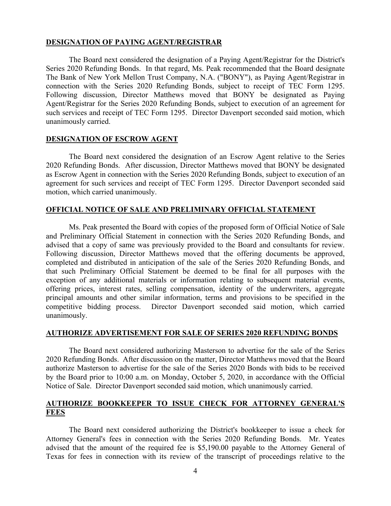## **DESIGNATION OF PAYING AGENT/REGISTRAR**

 The Board next considered the designation of a Paying Agent/Registrar for the District's Series 2020 Refunding Bonds. In that regard, Ms. Peak recommended that the Board designate The Bank of New York Mellon Trust Company, N.A. ("BONY"), as Paying Agent/Registrar in connection with the Series 2020 Refunding Bonds, subject to receipt of TEC Form 1295. Following discussion, Director Matthews moved that BONY be designated as Paying Agent/Registrar for the Series 2020 Refunding Bonds, subject to execution of an agreement for such services and receipt of TEC Form 1295. Director Davenport seconded said motion, which unanimously carried.

## **DESIGNATION OF ESCROW AGENT**

 The Board next considered the designation of an Escrow Agent relative to the Series 2020 Refunding Bonds. After discussion, Director Matthews moved that BONY be designated as Escrow Agent in connection with the Series 2020 Refunding Bonds, subject to execution of an agreement for such services and receipt of TEC Form 1295. Director Davenport seconded said motion, which carried unanimously.

## **OFFICIAL NOTICE OF SALE AND PRELIMINARY OFFICIAL STATEMENT**

Ms. Peak presented the Board with copies of the proposed form of Official Notice of Sale and Preliminary Official Statement in connection with the Series 2020 Refunding Bonds, and advised that a copy of same was previously provided to the Board and consultants for review. Following discussion, Director Matthews moved that the offering documents be approved, completed and distributed in anticipation of the sale of the Series 2020 Refunding Bonds, and that such Preliminary Official Statement be deemed to be final for all purposes with the exception of any additional materials or information relating to subsequent material events, offering prices, interest rates, selling compensation, identity of the underwriters, aggregate principal amounts and other similar information, terms and provisions to be specified in the competitive bidding process. Director Davenport seconded said motion, which carried unanimously.

# **AUTHORIZE ADVERTISEMENT FOR SALE OF SERIES 2020 REFUNDING BONDS**

The Board next considered authorizing Masterson to advertise for the sale of the Series 2020 Refunding Bonds. After discussion on the matter, Director Matthews moved that the Board authorize Masterson to advertise for the sale of the Series 2020 Bonds with bids to be received by the Board prior to 10:00 a.m. on Monday, October 5, 2020, in accordance with the Official Notice of Sale. Director Davenport seconded said motion, which unanimously carried.

# **AUTHORIZE BOOKKEEPER TO ISSUE CHECK FOR ATTORNEY GENERAL'S FEES**

The Board next considered authorizing the District's bookkeeper to issue a check for Attorney General's fees in connection with the Series 2020 Refunding Bonds. Mr. Yeates advised that the amount of the required fee is \$5,190.00 payable to the Attorney General of Texas for fees in connection with its review of the transcript of proceedings relative to the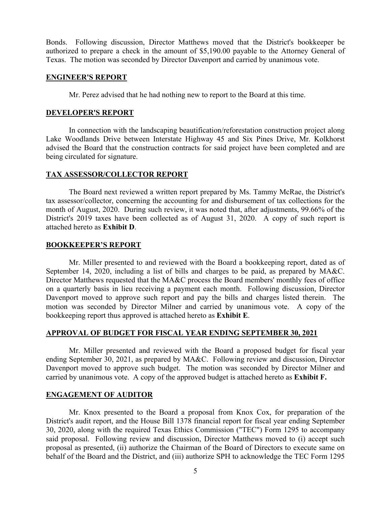Bonds. Following discussion, Director Matthews moved that the District's bookkeeper be authorized to prepare a check in the amount of \$5,190.00 payable to the Attorney General of Texas. The motion was seconded by Director Davenport and carried by unanimous vote.

## **ENGINEER'S REPORT**

Mr. Perez advised that he had nothing new to report to the Board at this time.

### **DEVELOPER'S REPORT**

 In connection with the landscaping beautification/reforestation construction project along Lake Woodlands Drive between Interstate Highway 45 and Six Pines Drive, Mr. Kolkhorst advised the Board that the construction contracts for said project have been completed and are being circulated for signature.

#### **TAX ASSESSOR/COLLECTOR REPORT**

 The Board next reviewed a written report prepared by Ms. Tammy McRae, the District's tax assessor/collector, concerning the accounting for and disbursement of tax collections for the month of August, 2020. During such review, it was noted that, after adjustments, 99.66% of the District's 2019 taxes have been collected as of August 31, 2020. A copy of such report is attached hereto as **Exhibit D**.

#### **BOOKKEEPER'S REPORT**

Mr. Miller presented to and reviewed with the Board a bookkeeping report, dated as of September 14, 2020, including a list of bills and charges to be paid, as prepared by MA&C. Director Matthews requested that the MA&C process the Board members' monthly fees of office on a quarterly basis in lieu receiving a payment each month. Following discussion, Director Davenport moved to approve such report and pay the bills and charges listed therein. The motion was seconded by Director Milner and carried by unanimous vote. A copy of the bookkeeping report thus approved is attached hereto as **Exhibit E**.

#### **APPROVAL OF BUDGET FOR FISCAL YEAR ENDING SEPTEMBER 30, 2021**

Mr. Miller presented and reviewed with the Board a proposed budget for fiscal year ending September 30, 2021, as prepared by MA&C. Following review and discussion, Director Davenport moved to approve such budget. The motion was seconded by Director Milner and carried by unanimous vote. A copy of the approved budget is attached hereto as **Exhibit F.** 

### **ENGAGEMENT OF AUDITOR**

 Mr. Knox presented to the Board a proposal from Knox Cox, for preparation of the District's audit report, and the House Bill 1378 financial report for fiscal year ending September 30, 2020, along with the required Texas Ethics Commission ("TEC") Form 1295 to accompany said proposal. Following review and discussion, Director Matthews moved to (i) accept such proposal as presented, (ii) authorize the Chairman of the Board of Directors to execute same on behalf of the Board and the District, and (iii) authorize SPH to acknowledge the TEC Form 1295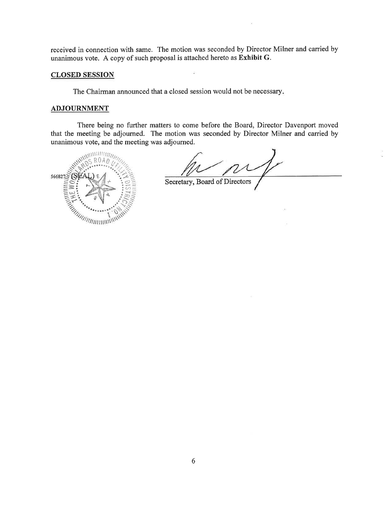received in connection with same. The motion was seconded by Director Milner and carried by unanimous vote. A copy of such proposal is attached hereto as Exhibit G.

#### **CLOSED SESSION**

The Chairman announced that a closed session would not be necessary.

#### **ADJOURNMENT**

There being no further matters to come before the Board, Director Davenport moved that the meeting be adjourned. The motion was seconded by Director Milner and carried by unanimous vote, and the meeting was adjourned.



Recretary, Board of Directors